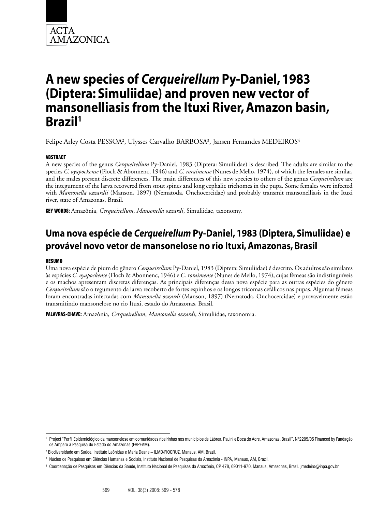

Felipe Arley Costa PESSOA<sup>2</sup>, Ulysses Carvalho BARBOSA<sup>3</sup>, Jansen Fernandes MEDEIROS<sup>4</sup>

#### ABSTRACT

A new species of the genus *Cerqueirellum* Py-Daniel, 1983 (Diptera: Simuliidae) is described. The adults are similar to the species *C. oyapockense* (Floch & Abonnenc, 1946) and *C. roraimense* (Nunes de Mello, 1974), of which the females are similar, and the males present discrete differences. The main differences of this new species to others of the genus *Cerqueirellum* are the integument of the larva recovered from stout spines and long cephalic trichomes in the pupa. Some females were infected with *Mansonella ozzardii* (Manson, 1897) (Nematoda, Onchocercidae) and probably transmit mansonelliasis in the Ituxi river, state of Amazonas, Brazil.

KEY WORDS: Amazônia, *Cerqueirellum*, *Mansonella ozzardi*, Simuliidae, taxonomy.

# **Uma nova espécie de** *Cerqueirellum* **Py-Daniel, 1983 (Diptera, Simuliidae) e provável novo vetor de mansonelose no rio Ituxi, Amazonas, Brasil**

#### RESUMO

Uma nova espécie de pium do gênero *Cerqueirellum* Py-Daniel, 1983 (Diptera: Simuliidae) é descrito. Os adultos são similares às espécies *C. oyapockense* (Floch & Abonnenc, 1946) e *C. roraimense* (Nunes de Mello, 1974), cujas fêmeas são indistinguíveis e os machos apresentam discretas diferenças. As principais diferenças dessa nova espécie para as outras espécies do gênero *Cerqueirellum* são o tegumento da larva recoberto de fortes espinhos e os longos tricomas cefálicos nas pupas. Algumas fêmeas foram encontradas infectadas com *Mansonella ozzardi* (Manson, 1897) (Nematoda, Onchocercidae) e provavelmente estão transmitindo mansonelose no rio Ituxi, estado do Amazonas, Brasil.

PALAVRAS-CHAVE: Amazônia, *Cerqueirellum*, *Mansonella ozzardi*, Simuliidae, taxonomia.

<sup>&</sup>lt;sup>1</sup> Project "Perfil Epidemiológico da mansonelose em comunidades ribeirinhas nos municípios de Lábrea, Pauini e Boca do Acre, Amazonas, Brasil", Nº2205/05 Financed by Fundação de Amparo à Pesquisa do Estado do Amazonas (FAPEAM).

<sup>2</sup> Biodiversidade em Saúde, Instituto Leônidas e Maria Deane – ILMD/FIOCRUZ, Manaus, AM, Brazil.

<sup>3</sup> Núcleo de Pesquisas em Ciências Humanas e Sociais, Instituto Nacional de Pesquisas da Amazônia - INPA, Manaus, AM, Brazil.

<sup>4</sup> Coordenação de Pesquisas em Ciências da Saúde, Instituto Nacional de Pesquisas da Amazônia, CP 478, 69011-970, Manaus, Amazonas, Brazil. jmedeiro@inpa.gov.br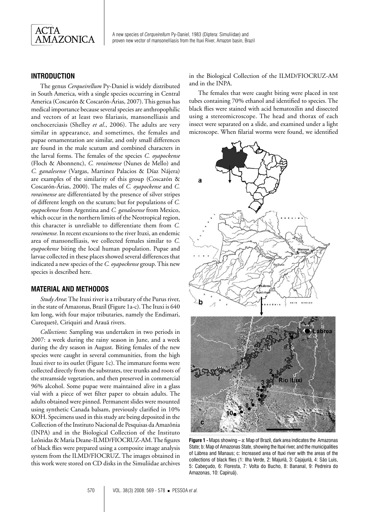

# **INTRODUCTION**

The genus *Cerqueirellum* Py-Daniel is widely distributed in South America, with a single species occurring in Central America (Coscarón & Coscarón-Árias, 2007). This genus has medical importance because several species are anthropophilic and vectors of at least two filariasis, mansonelliasis and onchocerciasis (Shelley *et al*., 2006). The adults are very similar in appearance, and sometimes, the females and pupae ornamentation are similar, and only small differences are found in the male scutum and combined characters in the larval forms. The females of the species *C. oyapockense*  (Floch & Abonnenc), *C. roraimense* (Nunes de Mello) and *C. ganalesense* (Vargas, Martinez Palacios & Díaz Nájera) are examples of the similarity of this group (Coscarón & Coscarón-Árias, 2000). The males of *C. oyapockense* and *C. roraimense* are differentiated by the presence of silver stripes of different length on the scutum; but for populations of *C. oyapockense* from Argentina and *C. ganalesense* from Mexico, which occur in the northern limits of the Neotropical region, this character is unreliable to differentiate them from *C. roraimense.* In recent excursions to the river Ituxi, an endemic area of mansonelliasis, we collected females similar to *C. oyapockense* biting the local human population. Pupae and larvae collected in these places showed several differences that indicated a new species of the *C. oyapockense* group. This new species is described here.

## **MATERIAL AND METHODOS**

*Study Area*: The Ituxi river is a tributary of the Purus river, in the state of Amazonas, Brazil **(**Figure 1a-c). The Ituxi is 640 km long, with four major tributaries, namely the Endimari, Curequetê, Ciriquiri and Arauã rivers.

*Collections*: Sampling was undertaken in two periods in 2007: a week during the rainy season in June, and a week during the dry season in August. Biting females of the new species were caught in several communities, from the high Ituxi river to its outlet (Figure 1c). The immature forms were collected directly from the substrates, tree trunks and roots of the streamside vegetation, and then preserved in commercial 96% alcohol. Some pupae were maintained alive in a glass vial with a piece of wet filter paper to obtain adults. The adults obtained were pinned. Permanent slides were mounted using synthetic Canada balsam, previously clarified in 10% KOH. Specimens used in this study are being deposited in the Collection of the Instituto Nacional de Pesquisas da Amazônia (INPA) and in the Biological Collection of the Instituto Leônidas & Maria Deane-ILMD/FIOCRUZ-AM. The figures of black flies were prepared using a composite image analysis system from the ILMD/FIOCRUZ. The images obtained in this work were stored on CD disks in the Simuliidae archives

in the Biological Collection of the ILMD/FIOCRUZ-AM and in the INPA.

The females that were caught biting were placed in test tubes containing 70% ethanol and identified to species. The black flies were stained with acid hematoxilin and dissected using a stereomicroscope. The head and thorax of each insect were separated on a slide, and examined under a light microscope. When filarial worms were found, we identified



**Figure 1 -** Maps showing – a: Map of Brazil, dark area indicates the Amazonas State; b: Map of Amazonas State, showing the Ituxi river, and the municipalities of Lábrea and Manaus; c: Increased area of Ituxi river with the areas of the collections of black flies (1: Ilha Verde, 2: Majuriã, 3: Cajajuriã, 4: São Luis, 5: Cabeçudo, 6: Floresta, 7: Volta do Bucho, 8: Bananal, 9: Pedreira do Amazonas, 10: Capiruã).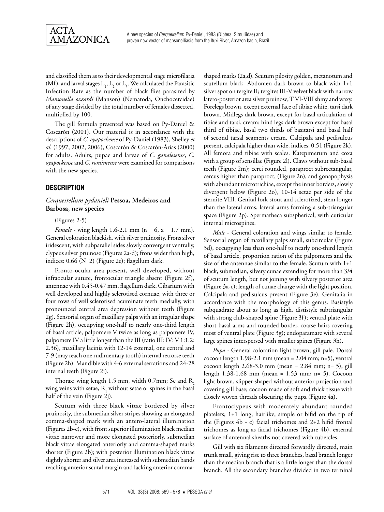

and classified them as to their developmental stage microfilaria (Mf), and larval stages  $L_1$ ,  $L_2$  or  $L_3$ . We calculated the Parasitic Infection Rate as the number of black flies parasited by *Mansonella ozzardi* (Manson) (Nematoda, Onchocercidae) of any stage divided by the total number of females dissected, multiplied by 100.

The gill formula presented was based on Py-Daniel & Coscarón (2001). Our material is in accordance with the descriptions of *C. oyapockense* of Py-Daniel (1983), Shelley *et al.* (1997, 2002, 2006), Coscarón & Coscarón-Árias (2000) for adults. Adults, pupae and larvae of *C. ganalesense*, *C. oyapockense* and *C. roraimense* were examined for comparisons with the new species.

# **DESCRIPTION**

## *Cerqueirellum pydanieli* **Pessoa, Medeiros and Barbosa, new species**

#### (Figures 2-5)

*Female* - wing length 1.6-2.1 mm (n = 6, x = 1.7 mm). General coloration blackish, with silver pruinosity. Frons silver iridescent, with subparallel sides slowly convergent ventrally, clypeus silver pruinose (Figures 2a-d); frons wider than high, indices: 0.66 (N=2) (Figure 2e); flagellum dark.

Fronto-ocular area present, well developed, without infraocular suture, frontocular triangle absent (Figure 2f), antennae with 0.45-0.47 mm, flagellum dark. Cibarium with well developed and highly sclerotised cornuae, with three or four rows of well sclerotised acuminate teeth medially, with pronounced central area depression without teeth (Figure 2g). Sensorial organ of maxillary palps with an irregular shape (Figure 2h), occupying one-half to nearly one-third length of basal article, palpomere V twice as long as palpomere IV, palpomere IV a little longer than the III (ratio III: IV: V 1:1.2: 2.36), maxillary lacinia with 12-14 external, one central and 7-9 (may reach one rudimentary tooth) internal retrorse teeth (Figure 2h). Mandible with 4-6 external serrations and 24-28 internal teeth (Figure 2i).

Thorax: wing length 1.5 mm, width 0.7mm; Sc and R, wing veins with setae,  $R_{1}$  without setae or spines in the basal half of the vein (Figure 2j).

Scutum with three black vittae bordered by silver pruinosity, the submedian silver stripes showing an elongated comma-shaped mark with an antero-lateral illumination (Figures 2b-c), with front superior illumination black median vittae narrower and more elongated posteriorly, submedian black vittae elongated anteriorly and comma-shaped marks shorter (Figure 2b); with posterior illumination black vittae slightly shorter and silver area increased with submedian bands reaching anterior scutal margin and lacking anterior commashaped marks (2a,d). Scutum pilosity golden, metanotum and scutellum black. Abdomen dark brown to black with 1+1 silver spot on tergite II; tergites III-V velvet black with narrow latero-posterior area silver pruinose, T VI-VIII shiny and waxy. Forelegs brown, except external face of tibiae white, tarsi dark brown. Midlegs dark brown, except for basal articulation of tibiae and tarsi, cream; hind legs dark brown except for basal third of tibiae, basal two thirds of basitarsi and basal half of second tarsal segments cream. Calcipala and pedisulcus present, calcipala higher than wide, indices: 0.51 (Figure 2k). All femora and tibiae with scales. Katepimerum and coxa with a group of sensillae (Figure 2l). Claws without sub-basal teeth (Figure 2m); cerci rounded, paraproct subrectangular, cercus higher than paraproct, (Figure 2n), and gonapophysis with abundant microtrichiae, except the inner borders, slowly divergent below (Figure 2o), 10-14 setae per side of the sternite VIII. Genital fork stout and sclerotized, stem longer than the lateral arms, lateral arms forming a sub-triangular space (Figure 2p). Spermatheca subspherical, with cuticular internal microspines.

*Male* - General coloration and wings similar to female. Sensorial organ of maxillary palps small, subcircular (Figure 3d), occupying less than one-half to nearly one-third length of basal article, proportion ration of the palpomeres and the size of the antennae similar to the female. Scutum with 1+1 black, submedian, silvery cunae extending for more than 3/4 of scutum length, but not joining with silvery posterior area (Figure 3a-c); length of cunae change with the light position. Calcipala and pedisulcus present (Figure 3e). Genitalia in accordance with the morphology of this genus. Basistyle subquadrate about as long as high, dististyle subtriangular with strong club-shaped spine (Figure 3f); ventral plate with short basal arms and rounded border, coarse hairs covering most of ventral plate (Figure 3g); endoparamare with several large spines interspersed with smaller spines (Figure 3h).

*Pupa* - General coloration light brown, gill pale. Dorsal cocoon length 1.98-2.1 mm (mean = 2.04 mm; n=5), ventral cocoon length 2.68-3.0 mm (mean = 2.84 mm; n= 5), gill length 1.38-1.68 mm (mean = 1.53 mm; n= 5). Cocoon light brown, slipper-shaped without anterior projection and covering gill base; cocoon made of soft and thick tissue with closely woven threads obscuring the pupa (Figure 4a).

Frontoclypeus with moderately abundant rounded platelets; 1+1 long, hairlike, simple or bifid on the tip of the (Figures 4b - c) facial trichomes and 2+2 bifid frontal trichomes as long as facial trichomes (Figure 4b), external surface of antennal sheaths not covered with tubercles.

Gill with six filaments directed forwardly directed, main trunk small, giving rise to three branches, basal branch longer than the median branch that is a little longer than the dorsal branch. All the secondary branches divided in two terminal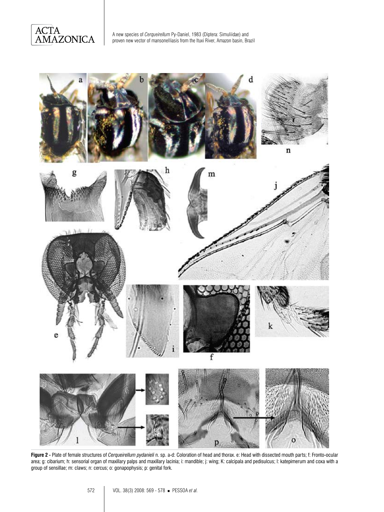ACTA<br>AMAZONICA

A new species of *Cerqueirellum* Py-Daniel, 1983 (Diptera: Simuliidae) and proven new vector of mansonelliasis from the Ituxi River, Amazon basin, Brazil



**Figure 2 -** Plate of female structures of *Cerqueirellum pydanieli* n. sp. a-d: Coloration of head and thorax. e: Head with dissected mouth parts; f: Fronto-ocular area; g: cibarium; h: sensorial organ of maxillary palps and maxillary lacinia; i: mandible; j: wing; K: calcipala and pedisulcus; l: katepimerum and coxa with a group of sensillae; m: claws; n: cercus; o: gonapophysis; p: genital fork.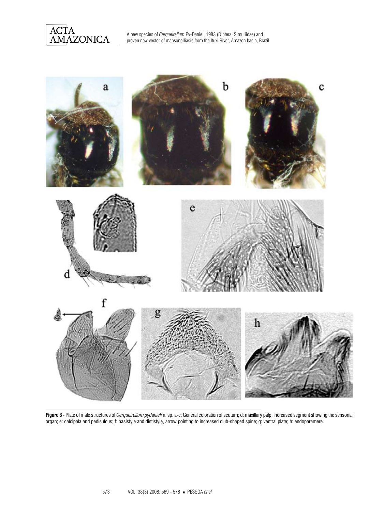ACTA<br>AMAZONICA



**Figure 3** - Plate of male structures of *Cerqueirellum pydanieli* n. sp. a-c: General coloration of scutum; d: maxillary palp, increased segment showing the sensorial organ; e: calcipala and pedisulcus; f: basistyle and dististyle, arrow pointing to increased club-shaped spine; g: ventral plate; h: endoparamere.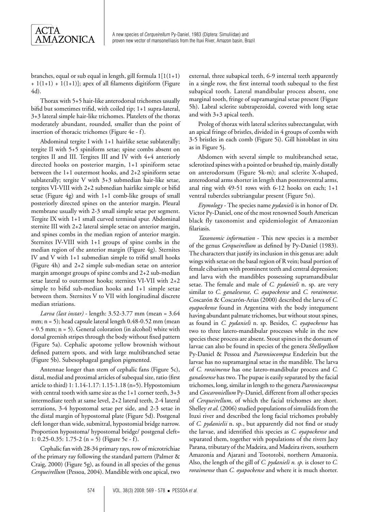

branches, equal or sub equal in length, gill formula  $1[1(1+1)]$  $+ 1(1+1) + 1(1+1)$ ; apex of all filaments digitiform (Figure 4d).

Thorax with 5+5 hair-like anterodorsal trichomes usually bifid but sometimes trifid, with coiled tip; 1+1 supra-lateral, 3+3 lateral simple hair-like trichomes. Platelets of the thorax moderately abundant, rounded, smaller than the point of insertion of thoracic trichomes (Figure 4e - f).

Abdominal tergite I with 1+1 hairlike setae sublaterally; tergite II with 5+5 spiniform setae; spine combs absent on tergites II and III*.* Tergites III and IV with 4+4 anteriorly directed hooks on posterior margin, 1+1 spiniform setae between the 1+1 outermost hooks, and 2+2 spiniform setae sublaterally; tergite V with 3+3 submedian hair-like setae, tergites VI-VIII with 2+2 submedian hairlike simple or bifid setae (Figure 4g) and with 1+1 comb-like groups of small posteriorly directed spines on the anterior margin. Pleural membrane usually with 2-3 small simple setae per segment. Tergite IX with 1+1 small curved terminal spur. Abdominal sternite III with 2+2 lateral simple setae on anterior margin, and spines combs in the median region of anterior margin. Sternites IV-VIII with 1+1 groups of spine combs in the median region of the anterior margin (Figure 4g). Sternites IV and V with 1+1 submedian simple to trifid small hooks (Figure 4h) and 2+2 simple sub-median setae on anterior margin amongst groups of spine combs and 2+2 sub-median setae lateral to outermost hooks; sternites VI-VII with 2+2 simple to bifid sub-median hooks and 1+1 simple setae between them. Sternites V to VII with longitudinal discrete median striations.

*Larva (last instar)* - length: 3.52-3.77 mm (mean = 3.64 mm;  $n = 5$ ); head capsule lateral length  $0.48 - 0.52$  mm (mean = 0.5 mm; n = 5). General coloration (in alcohol) white with dorsal greenish stripes through the body without fixed pattern (Figure 5a). Cephalic apotome yellow brownish without defined pattern spots, and with large multibranched setae (Figure 5b). Subesophageal ganglion pigmented.

Antennae longer than stem of cephalic fans (Figure 5c), distal, medial and proximal articles of subequal size, ratio (first article to third) 1: 1.14-1.17: 1.15-1.18 (n=5). Hypostomium with central tooth with same size as the  $1+1$  corner teeth,  $3+3$ intermediate teeth at same level, 2+2 lateral teeth, 2-4 lateral serrations, 3-4 hypostomal setae per side, and 2-3 setae in the distal margin of hypostomal plate (Figure 5d). Postgenal cleft longer than wide, submitral, hypostomial bridge narrow. Proportion hypostoma/ hypostomal bridge/ postgenal cleft= 1: 0.25-0.35: 1.75-2 (n = 5) (Figure 5e - f).

Cephalic fan with 28-34 primary rays, row of microtrichiae of the primary ray following the standard pattern (Palmer & Craig, 2000) (Figure 5g), as found in all species of the genus *Cerqueirellum* (Pessoa, 2004). Mandible with one apical, two external, three subapical teeth, 6-9 internal teeth apparently in a single row, the first internal tooth subequal to the first subapical tooth. Lateral mandibular process absent, one marginal tooth, fringe of supramarginal setae present (Figure 5h). Labral sclerite subtrapezoidal, covered with long setae and with 3+3 apical teeth.

Proleg of thorax with lateral sclerites subrectangular, with an apical fringe of bristles, divided in 4 groups of combs with 3-5 bristles in each comb (Figure 5i). Gill histoblast in situ as in Figure 5j.

Abdomen with several simple to multibranched setae, sclerotized spines with a pointed or brushed tip, mainly distally on anterodorsum (Figure 5k-m); anal sclerite X-shaped, anterodorsal arms shorter in length than posteroventral arms, anal ring with 49-51 rows with 6-12 hooks on each; 1+1 ventral tubercles subtriangular present (Figure 5n).

*Etymology* - The species name *pydanieli* is in honor of Dr. Victor Py-Daniel, one of the most renowned South American black fly taxonomist and epidemiologist of Amazonian filariasis.

*Taxonomic information* - This new species is a member of the genus *Cerqueirellum* as defined by Py-Daniel (1983). The characters that justify its inclusion in this genus are: adult wings with setae on the basal region of R vein; basal portion of female cibarium with prominent teeth and central depression; and larva with the mandibles possessing supramandibular setae. The female and male of *C. pydanieli* n. sp. are very similar to *C. ganalesense, C. oyapockense* and *C. roraimense*. Coscarón & Coscarón-Arias (2000) described the larva of *C. oyapockense* found in Argentina with the body integument having abundant palmate trichomes, but without stout spines, as found in *C. pydanieli* n. sp. Besides, *C. oyapockense* has two to three latero-mandibular processes while in the new species these process are absent. Stout spines in the dorsum of larvae can also be found in species of the genera *Shelleyellum*  Py-Daniel & Pessoa and *Psaroniocompsa* Enderlein but the larvae has no supramarginal setae in the mandible. The larva of *C. roraimense* has one latero-mandibular process and *C. ganalesense* has two. The pupae is easily separated by the facial trichomes, long, similar in length to the genera *Psaroniocompsa* and *Coscaroniellum* Py-Daniel, different from all other species of *Cerqueirellum*, of which the facial trichomes are short. Shelley *et al*. (2006) studied populations of simuliids from the Ituxi river and described the long facial trichomes probably of *C. pydanielii* n. sp*.*, but apparently did not find or study the larvae, and identified this species as *C. oyapockense* and separated them, together with populations of the rivers Jacy Parana, tributary of the Madeira, and Madeira rivers, southern Amazonia and Ajarani and Toototobi, northern Amazonia. Also, the length of the gill of *C. pydanieli n. sp.* is closer to *C. roraimense* than *C. oyapockense* and where it is much shorter.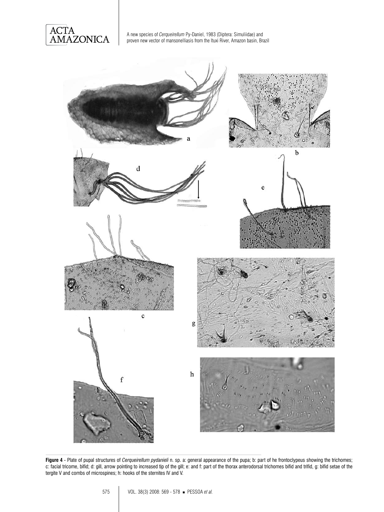



**Figure 4** - Plate of pupal structures of *Cerqueirellum pydanieli* n. sp. a: general appearance of the pupa; b: part of he frontoclypeus showing the trichomes; c: facial tricome, bifid; d: gill, arrow pointing to increased tip of the gill; e: and f: part of the thorax anterodorsal trichomes bifid and trifid, g: bifid setae of the tergite V and combs of microspines; h: hooks of the sternites IV and V.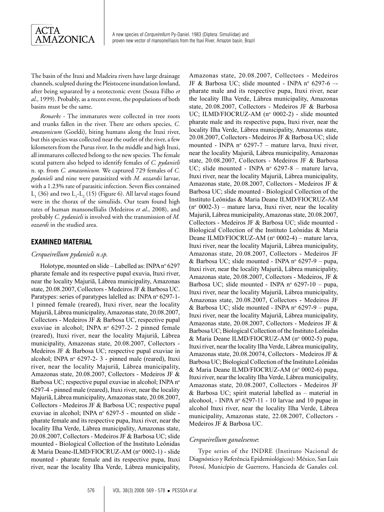

The basin of the Ituxi and Madeira rivers have large drainage channels, sculpted during the Pleistocene inundation lowland, after being separated by a neotectonic event (Souza Filho *et al*., 1999). Probably, as a recent event, the populations of both basins must be the same.

*Remarks* - The immatures were collected in tree roots and trunks fallen in the river. There are others species, *C. amazonicum* (Goeldi), biting humans along the Ituxi river, but this species was collected near the outlet of the river, a few kilometers from the Purus river. In the middle and high Ituxi, all immatures collected belong to the new species*.* The female scutal pattern also helped to identify females of *C. pydanieli*  n. sp. from *C. amazonicum.* We captured 729 females of *C. pydanieli* and nine were parasitized with *M. ozzardii* larvae, with a 1.23% rate of parasitic infection. Seven flies contained  $L_1$  (36) and two  $L_1$ - $L_2$  (15) (Figure 6). All larval stages found were in the thorax of the simuliids. Our team found high rates of human mansonellialis (Medeiros *et al*., 2008), and probably *C. pydanieli* is involved with the transmission of *M. ozzardi* in the studied area.

## **EXAMINED MATERIAL**

#### *Cerqueirellum pydanieli n.sp.*

Holotype, mounted on slide – Labelled as: INPA nº 6297 pharate female and its respective pupal exuvia, Ituxi river, near the locality Majuriã, Lábrea municipality, Amazonas state, 20.08.2007, Collectors - Medeiros JF & Barbosa UC. Paratypes: series of paratypes lalelled as: INPA nº 6297-1-1 pinned female (reared), Ituxi river, near the locality Majuriã, Lábrea municipality, Amazonas state, 20.08.2007, Collectors - Medeiros JF & Barbosa UC, respective pupal exuviae in alcohol; INPA  $n^{\circ}$  6297-2- 2 pinned female (reared), Ituxi river, near the locality Majuriã, Lábrea municipality, Amazonas state, 20.08.2007, Collectors - Medeiros JF & Barbosa UC; respective pupal exuviae in alcohol; INPA nº 6297-2- 3 - pinned male (reared), Ituxi river, near the locality Majuriã, Lábrea municipality, Amazonas state, 20.08.2007, Collectors - Medeiros JF & Barbosa UC; respective pupal exuviae in alcohol; INPA n<sup>o</sup> 6297-4 - pinned male (reared), Ituxi river, near the locality Majuriã, Lábrea municipality, Amazonas state, 20.08.2007, Collectors - Medeiros JF & Barbosa UC; respective pupal exuviae in alcohol; INPA  $n^{\circ}$  6297-5 - mounted on slide pharate female and its respective pupa, Ituxi river, near the locality Ilha Verde, Lábrea municipality, Amazonas state, 20.08.2007, Collectors - Medeiros JF & Barbosa UC; slide mounted - Biological Collection of the Instituto Leônidas & Maria Deane-ILMD/FIOCRUZ-AM (nº 0002-1) - slide mounted - pharate female and its respective pupa, Ituxi river, near the locality Ilha Verde, Lábrea municipality,

Amazonas state, 20.08.2007, Collectors - Medeiros JF & Barbosa UC; slide mounted - INPA  $n^{\circ}$  6297-6 pharate male and its respective pupa, Ituxi river, near the locality Ilha Verde, Lábrea municipality, Amazonas state, 20.08.2007, Collectors - Medeiros JF & Barbosa UC; ILMD/FIOCRUZ-AM  $(n^{\circ} 0002-2)$  - slide mounted pharate male and its respective pupa, Ituxi river, near the locality Ilha Verde, Lábrea municipality, Amazonas state, 20.08.2007, Collectors - Medeiros JF & Barbosa UC; slide mounted - INPA nº 6297-7 – mature larva, Ituxi river, near the locality Majuriã, Lábrea municipality, Amazonas state, 20.08.2007, Collectors - Medeiros JF & Barbosa UC; slide mounted - INPA  $n^{\circ}$  6297-8 – mature larva, Ituxi river, near the locality Majuriã, Lábrea municipality, Amazonas state, 20.08.2007, Collectors - Medeiros JF & Barbosa UC; slide mounted - Biological Collection of the Instituto Leônidas & Maria Deane ILMD/FIOCRUZ-AM  $(n^{\circ} 0002-3)$  – mature larva, Ituxi river, near the locality Majuriã, Lábrea municipality, Amazonas state, 20.08.2007, Collectors - Medeiros JF & Barbosa UC; slide mounted - Biological Collection of the Instituto Leônidas & Maria Deane ILMD/FIOCRUZ-AM (nº 0002-4) – mature larva, Ituxi river, near the locality Majuriã, Lábrea municipality, Amazonas state, 20.08.2007, Collectors - Medeiros JF & Barbosa UC; slide mounted - INPA  $n^{\circ}$  6297-9 – pupa, Ituxi river, near the locality Majuriã, Lábrea municipality, Amazonas state, 20.08.2007, Collectors - Medeiros, JF & Barbosa UC; slide mounted - INPA nº 6297-10 - pupa, Ituxi river, near the locality Majuriã, Lábrea municipality, Amazonas state, 20.08.2007, Collectors - Medeiros JF & Barbosa UC; slide mounted - INPA  $n^{\circ}$  6297-9 – pupa, Ituxi river, near the locality Majuriã, Lábrea municipality, Amazonas state, 20.08.2007, Collectors - Medeiros JF & Barbosa UC; Biological Collection of the Instituto Leônidas & Maria Deane ILMD/FIOCRUZ-AM (nº 0002-5) pupa, Ituxi river, near the locality Ilha Verde, Lábrea municipality, Amazonas state, 20.08.20074, Collectors - Medeiros JF & Barbosa UC; Biological Collection of the Instituto Leônidas & Maria Deane ILMD/FIOCRUZ-AM (nº 0002-6) pupa, Ituxi river, near the locality Ilha Verde, Lábrea municipality, Amazonas state, 20.08.2007, Collectors - Medeiros JF & Barbosa UC; spirit material labelled as – material in alcohool, - INPA nº 6297-11 - 10 larvae and 10 pupae in alcohol Ituxi river, near the locality Ilha Verde, Lábrea municipality, Amazonas state, 22.08.2007, Collectors - Medeiros JF & Barbosa UC.

## *Cerqueirellum ganalesense***:**

Type series of the INDRE (Instituto Nacional de Diagnóstico y Referência Epidemiológicos): México, San Luis Potosí, Município de Guerrero, Hancieda de Ganales col.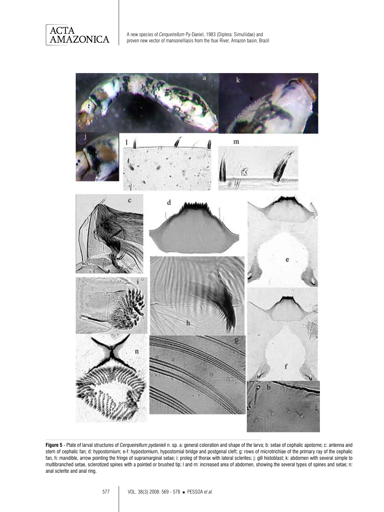ACTA<br>AMAZONICA



**Figure 5** - Plate of larval structures of *Cerqueirellum pydanieli* n. sp. a: general coloration and shape of the larva; b: setae of cephalic apotome; c: antenna and stem of cephalic fan; d: hypostomium; e-f: hypostomium, hypostomial bridge and postgenal cleft; g: rows of microtrichiae of the primary ray of the cephalic fan, h: mandible, arrow pointing the fringe of supramarginal setae; i: proleg of thorax with lateral sclerites; j: gill histoblast; k: abdomen with several simple to multibranched setae, sclerotized spines with a pointed or brushed tip; l and m: increased area of abdomen, showing the several types of spines and setae; n: anal sclerite and anal ring.